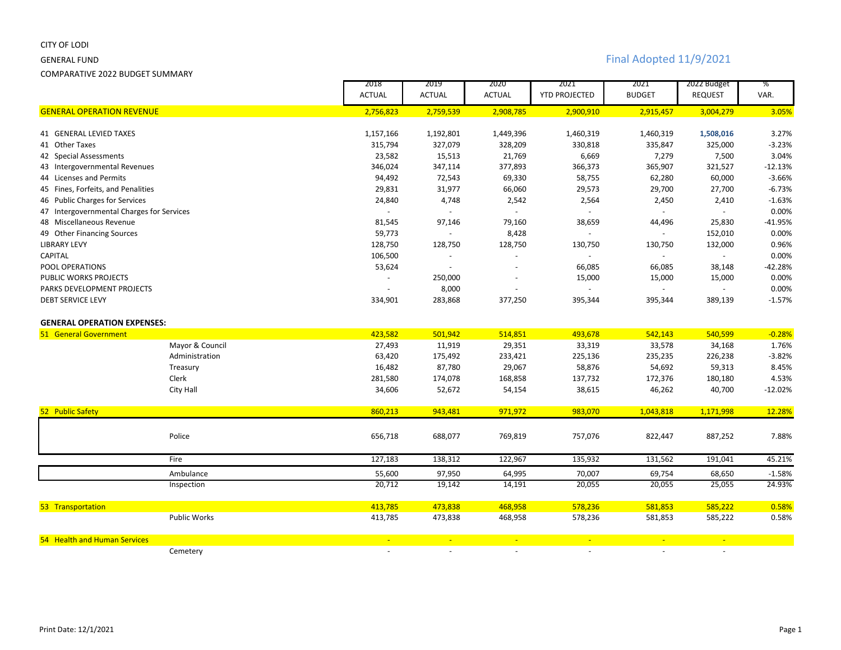### CITY OF LODI

COMPARATIVE 2022 BUDGET SUMMARY

# GENERAL FUND Final Adopted 11/9/2021

|                                           |                     | 2018           | 2019             | 2020           | 2021                 | 2021           | 2022 Budget    | %         |
|-------------------------------------------|---------------------|----------------|------------------|----------------|----------------------|----------------|----------------|-----------|
|                                           |                     | <b>ACTUAL</b>  | <b>ACTUAL</b>    | <b>ACTUAL</b>  | <b>YTD PROJECTED</b> | <b>BUDGET</b>  | <b>REQUEST</b> | VAR.      |
| <b>GENERAL OPERATION REVENUE</b>          |                     | 2,756,823      | 2,759,539        | 2,908,785      | 2,900,910            | 2,915,457      | 3,004,279      | 3.05%     |
| <b>41 GENERAL LEVIED TAXES</b>            |                     | 1,157,166      | 1,192,801        | 1,449,396      | 1,460,319            | 1,460,319      | 1,508,016      | 3.27%     |
| 41 Other Taxes                            |                     | 315,794        | 327,079          | 328,209        | 330,818              | 335,847        | 325,000        | $-3.23%$  |
| 42 Special Assessments                    |                     | 23,582         | 15,513           | 21,769         | 6,669                | 7,279          | 7,500          | 3.04%     |
| 43 Intergovernmental Revenues             |                     | 346,024        | 347,114          | 377,893        | 366,373              | 365,907        | 321,527        | $-12.13%$ |
| 44 Licenses and Permits                   |                     | 94,492         | 72,543           | 69,330         | 58,755               | 62,280         | 60,000         | $-3.66%$  |
| 45 Fines, Forfeits, and Penalities        |                     | 29,831         | 31,977           | 66,060         | 29,573               | 29,700         | 27,700         | $-6.73%$  |
| 46 Public Charges for Services            |                     | 24,840         | 4,748            | 2,542          | 2,564                | 2,450          | 2,410          | $-1.63%$  |
| 47 Intergovernmental Charges for Services |                     | $\blacksquare$ | $\omega_{\rm c}$ | $\omega$       | $\sim$               |                |                | 0.00%     |
| 48 Miscellaneous Revenue                  |                     | 81,545         | 97,146           | 79,160         | 38,659               | 44,496         | 25,830         | $-41.95%$ |
| 49 Other Financing Sources                |                     | 59,773         |                  | 8,428          | $\sim$               |                | 152,010        | 0.00%     |
| <b>LIBRARY LEVY</b>                       |                     | 128,750        | 128,750          | 128,750        | 130,750              | 130,750        | 132,000        | 0.96%     |
| CAPITAL                                   |                     | 106,500        | $\blacksquare$   | $\overline{a}$ |                      |                |                | 0.00%     |
| POOL OPERATIONS                           |                     | 53,624         |                  |                | 66,085               | 66,085         | 38,148         | $-42.28%$ |
| PUBLIC WORKS PROJECTS                     |                     |                | 250,000          |                | 15,000               | 15,000         | 15,000         | 0.00%     |
| PARKS DEVELOPMENT PROJECTS                |                     |                | 8,000            | $\blacksquare$ | $\mathbf{r}$         |                | $\omega$       | 0.00%     |
| <b>DEBT SERVICE LEVY</b>                  |                     | 334,901        | 283,868          | 377,250        | 395,344              | 395,344        | 389,139        | $-1.57%$  |
| <b>GENERAL OPERATION EXPENSES:</b>        |                     |                |                  |                |                      |                |                |           |
| 51 General Government                     |                     | 423,582        | 501,942          | 514,851        | 493,678              | 542,143        | 540,599        | $-0.28%$  |
|                                           | Mayor & Council     | 27,493         | 11,919           | 29,351         | 33,319               | 33,578         | 34,168         | 1.76%     |
|                                           | Administration      | 63,420         | 175,492          | 233,421        | 225,136              | 235,235        | 226,238        | $-3.82%$  |
|                                           | Treasury            | 16,482         | 87,780           | 29,067         | 58,876               | 54,692         | 59,313         | 8.45%     |
|                                           | Clerk               | 281,580        | 174,078          | 168,858        | 137,732              | 172,376        | 180,180        | 4.53%     |
|                                           | City Hall           | 34,606         | 52,672           | 54,154         | 38,615               | 46,262         | 40,700         | $-12.02%$ |
| 52 Public Safety                          |                     | 860,213        | 943,481          | 971,972        | 983,070              | 1,043,818      | 1,171,998      | 12.28%    |
|                                           |                     |                |                  |                |                      |                |                |           |
|                                           | Police              | 656,718        | 688,077          | 769,819        | 757,076              | 822,447        | 887,252        | 7.88%     |
|                                           | Fire                | 127,183        | 138,312          | 122,967        | 135,932              | 131,562        | 191,041        | 45.21%    |
|                                           | Ambulance           | 55,600         | 97,950           | 64,995         | 70,007               | 69,754         | 68,650         | $-1.58%$  |
|                                           | Inspection          | 20,712         | 19,142           | 14,191         | 20,055               | 20,055         | 25,055         | 24.93%    |
|                                           |                     |                |                  |                |                      |                |                |           |
| 53 Transportation                         |                     | 413,785        | 473,838          | 468,958        | 578,236              | 581,853        | 585,222        | 0.58%     |
|                                           | <b>Public Works</b> | 413,785        | 473,838          | 468,958        | 578,236              | 581,853        | 585,222        | 0.58%     |
| 54 Health and Human Services              |                     | $\equiv$       | $\mathbb{Z}^2$   | $\frac{1}{2}$  | $\mathbb{Z}^2$       | $\equiv$       | $\mathbb{Z}^2$ |           |
|                                           | Cemetery            | $\sim$         | $\blacksquare$   | $\omega$       | $\blacksquare$       | $\blacksquare$ | $\blacksquare$ |           |